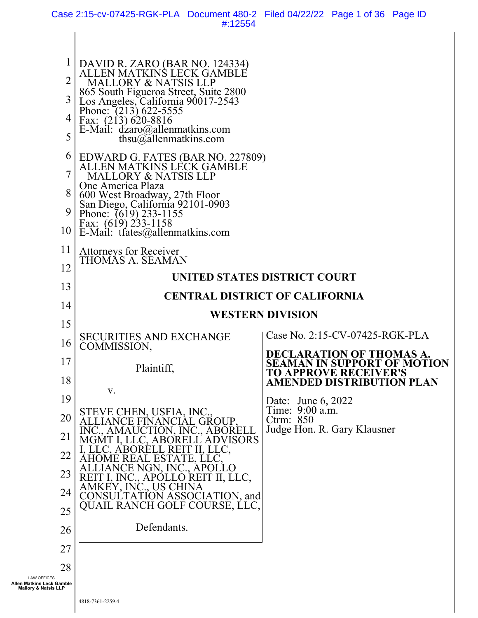Case 2:15-cv-07425-RGK-PLA Document 480-2 Filed 04/22/22 Page 1 of 36 Page ID #:12554

| $\overline{2}$<br>3<br>4<br>5                                                      | DAVID R. ZARO (BAR NO. 124334)<br>   ALLEN MATKINS LECK GAMBLE<br><b>MALLORY &amp; NATSIS LLP</b><br>865 South Figueroa Street, Suite 2800<br>Los Angeles, California 90017-2543<br>Phone: (213) 622-5555<br>Fax: $(21\overline{3})\overline{6}20-8816$<br>E-Mail: dzaro@allenmatkins.com<br>thsu $@a$ llenmatkins.com |                                                                                                 |
|------------------------------------------------------------------------------------|------------------------------------------------------------------------------------------------------------------------------------------------------------------------------------------------------------------------------------------------------------------------------------------------------------------------|-------------------------------------------------------------------------------------------------|
| 6<br>7<br>8<br>9<br>10                                                             | EDWARD G. FATES (BAR NO. 227809)<br>  ALLEN MATKINS LECK GAMBLE<br>MALLORY & NATSIS LLP<br>One America Plaza<br>600 West Broadway, 27th Floor<br>San Diego, California 92101-0903<br>Phone: (619) 233-1155<br>$\left\  \begin{array}{ll}\n$ Fax: (619) 233-1158<br>E-Mail: tfates@allenmatkins.com                     |                                                                                                 |
| 11<br>12                                                                           | <b>Attorneys for Receiver</b><br>THOMÁS A. SEAMAN                                                                                                                                                                                                                                                                      |                                                                                                 |
| 13                                                                                 |                                                                                                                                                                                                                                                                                                                        | UNITED STATES DISTRICT COURT                                                                    |
| 14                                                                                 |                                                                                                                                                                                                                                                                                                                        | <b>CENTRAL DISTRICT OF CALIFORNIA</b>                                                           |
| 15                                                                                 |                                                                                                                                                                                                                                                                                                                        | <b>WESTERN DIVISION</b>                                                                         |
|                                                                                    | <b>SECURITIES AND EXCHANGE</b>                                                                                                                                                                                                                                                                                         | Case No. 2:15-CV-07425-RGK-PLA                                                                  |
| 16                                                                                 | COMMISSION,                                                                                                                                                                                                                                                                                                            | <b>DECLARATION OF THOMAS A.</b>                                                                 |
| 17<br>18                                                                           | Plaintiff,                                                                                                                                                                                                                                                                                                             | <b>SEAMAN IN SUPPORT OF MOTION</b><br>TO APPROVE RECEIVER'S<br><b>AMENDED DISTRIBUTION PLAN</b> |
| 19                                                                                 | V.                                                                                                                                                                                                                                                                                                                     | Date: June 6, 2022                                                                              |
| 20                                                                                 | STEVE CHEN, USFIA, INC<br>GROUP.                                                                                                                                                                                                                                                                                       | Time: 9:00 a.m.<br>Ctrm: $850$                                                                  |
| 21                                                                                 | N, INC., ABORELL<br>VISORS                                                                                                                                                                                                                                                                                             | Judge Hon. R. Gary Klausner                                                                     |
| 22                                                                                 |                                                                                                                                                                                                                                                                                                                        |                                                                                                 |
| 23                                                                                 | REIT II, LLC,                                                                                                                                                                                                                                                                                                          |                                                                                                 |
| 24                                                                                 | ASSOCIATION, and                                                                                                                                                                                                                                                                                                       |                                                                                                 |
| 25                                                                                 | QUAIL RANCH GOLF COURSE, LLC,                                                                                                                                                                                                                                                                                          |                                                                                                 |
| 26                                                                                 | Defendants.                                                                                                                                                                                                                                                                                                            |                                                                                                 |
| 27                                                                                 |                                                                                                                                                                                                                                                                                                                        |                                                                                                 |
| 28                                                                                 |                                                                                                                                                                                                                                                                                                                        |                                                                                                 |
| <b>LAW OFFICES</b><br>Allen Matkins Leck Gamble<br><b>Mallory &amp; Natsis LLP</b> |                                                                                                                                                                                                                                                                                                                        |                                                                                                 |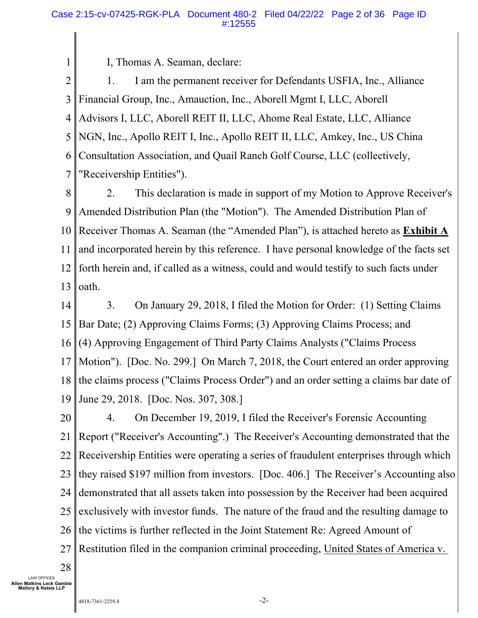I, Thomas A. Seaman, declare:

1

2 3 4 5 6 7 1. I am the permanent receiver for Defendants USFIA, Inc., Alliance Financial Group, Inc., Amauction, Inc., Aborell Mgmt I, LLC, Aborell Advisors I, LLC, Aborell REIT II, LLC, Ahome Real Estate, LLC, Alliance NGN, Inc., Apollo REIT I, Inc., Apollo REIT II, LLC, Amkey, Inc., US China Consultation Association, and Quail Ranch Golf Course, LLC (collectively, "Receivership Entities").

8 9 10 11 12 13 2. This declaration is made in support of my Motion to Approve Receiver's Amended Distribution Plan (the "Motion"). The Amended Distribution Plan of Receiver Thomas A. Seaman (the "Amended Plan"), is attached hereto as **Exhibit A** and incorporated herein by this reference. I have personal knowledge of the facts set forth herein and, if called as a witness, could and would testify to such facts under oath.

14 15 16 17 18 19 3. On January 29, 2018, I filed the Motion for Order: (1) Setting Claims Bar Date; (2) Approving Claims Forms; (3) Approving Claims Process; and (4) Approving Engagement of Third Party Claims Analysts ("Claims Process Motion"). [Doc. No. 299.] On March 7, 2018, the Court entered an order approving the claims process ("Claims Process Order") and an order setting a claims bar date of June 29, 2018. [Doc. Nos. 307, 308.]

20 21 22 23 24 25 26 27 4. On December 19, 2019, I filed the Receiver's Forensic Accounting Report ("Receiver's Accounting".) The Receiver's Accounting demonstrated that the Receivership Entities were operating a series of fraudulent enterprises through which they raised \$197 million from investors. [Doc. 406.] The Receiver's Accounting also demonstrated that all assets taken into possession by the Receiver had been acquired exclusively with investor funds. The nature of the fraud and the resulting damage to the victims is further reflected in the Joint Statement Re: Agreed Amount of Restitution filed in the companion criminal proceeding, United States of America v.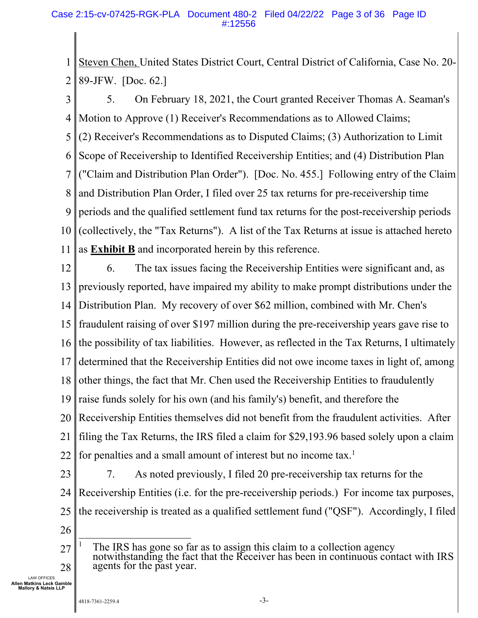1 2 Steven Chen, United States District Court, Central District of California, Case No. 20- 89-JFW. [Doc. 62.]

3 4 5 6 7 8 9 10 11 5. On February 18, 2021, the Court granted Receiver Thomas A. Seaman's Motion to Approve (1) Receiver's Recommendations as to Allowed Claims; (2) Receiver's Recommendations as to Disputed Claims; (3) Authorization to Limit Scope of Receivership to Identified Receivership Entities; and (4) Distribution Plan ("Claim and Distribution Plan Order"). [Doc. No. 455.] Following entry of the Claim and Distribution Plan Order, I filed over 25 tax returns for pre-receivership time periods and the qualified settlement fund tax returns for the post-receivership periods (collectively, the "Tax Returns"). A list of the Tax Returns at issue is attached hereto as **Exhibit B** and incorporated herein by this reference.

12 13 14 15 16 17 18 19 20 21 22 6. The tax issues facing the Receivership Entities were significant and, as previously reported, have impaired my ability to make prompt distributions under the Distribution Plan. My recovery of over \$62 million, combined with Mr. Chen's fraudulent raising of over \$197 million during the pre-receivership years gave rise to the possibility of tax liabilities. However, as reflected in the Tax Returns, I ultimately determined that the Receivership Entities did not owe income taxes in light of, among other things, the fact that Mr. Chen used the Receivership Entities to fraudulently raise funds solely for his own (and his family's) benefit, and therefore the Receivership Entities themselves did not benefit from the fraudulent activities. After filing the Tax Returns, the IRS filed a claim for \$29,193.96 based solely upon a claim for penalties and a small amount of interest but no income tax.<sup>1</sup>

- 23 24 25 7. As noted previously, I filed 20 pre-receivership tax returns for the Receivership Entities (i.e. for the pre-receivership periods.) For income tax purposes, the receivership is treated as a qualified settlement fund ("QSF"). Accordingly, I filed
- 26

<sup>27</sup>  28 1 The IRS has gone so far as to assign this claim to a collection agency notwithstanding the fact that the Receiver has been in continuous contact with IRS agents for the past year.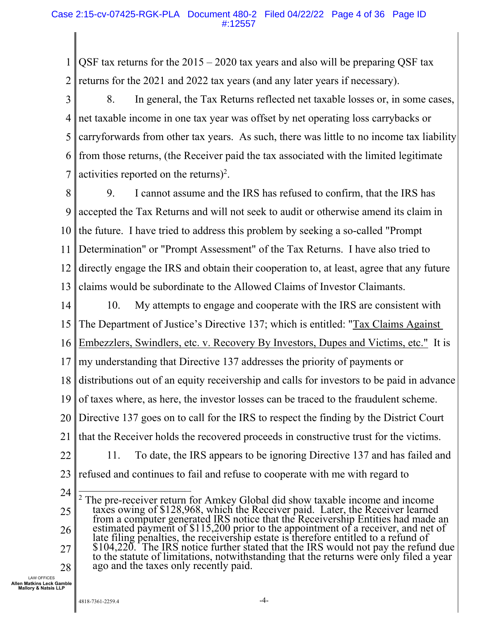1 2 QSF tax returns for the  $2015 - 2020$  tax years and also will be preparing QSF tax returns for the 2021 and 2022 tax years (and any later years if necessary).

3 4 5 6 7 8. In general, the Tax Returns reflected net taxable losses or, in some cases, net taxable income in one tax year was offset by net operating loss carrybacks or carryforwards from other tax years. As such, there was little to no income tax liability from those returns, (the Receiver paid the tax associated with the limited legitimate activities reported on the returns $)^2$ .

8 9 10 11 12 13 9. I cannot assume and the IRS has refused to confirm, that the IRS has accepted the Tax Returns and will not seek to audit or otherwise amend its claim in the future. I have tried to address this problem by seeking a so-called "Prompt Determination" or "Prompt Assessment" of the Tax Returns. I have also tried to directly engage the IRS and obtain their cooperation to, at least, agree that any future claims would be subordinate to the Allowed Claims of Investor Claimants.

- 14 15 10. My attempts to engage and cooperate with the IRS are consistent with The Department of Justice's Directive 137; which is entitled: "Tax Claims Against
- 16 Embezzlers, Swindlers, etc. v. Recovery By Investors, Dupes and Victims, etc." It is
- 17 my understanding that Directive 137 addresses the priority of payments or
- 18 distributions out of an equity receivership and calls for investors to be paid in advance
- 19 of taxes where, as here, the investor losses can be traced to the fraudulent scheme.
- 20 Directive 137 goes on to call for the IRS to respect the finding by the District Court
- 21 that the Receiver holds the recovered proceeds in constructive trust for the victims.

11. To date, the IRS appears to be ignoring Directive 137 and has failed and

- 22
- 23 refused and continues to fail and refuse to cooperate with me with regard to

<sup>24</sup>  25 26 27 28 <sup>2</sup> The pre-receiver return for Amkey Global did show taxable income and income taxes owing of \$128,968, which the Receiver paid. Later, the Receiver learned from a computer generated IRS notice that the Receivership Entities had made an<br>estimated payment of \$115,200 prior to the appointment of a receiver, and net of<br>late filing penalties, the receivership estate is therefore e \$104,220. The IRS notice further stated that the IRS would not pay the refund due to the statute of limitations, notwithstanding that the returns were only filed a year ago and the taxes only recently paid.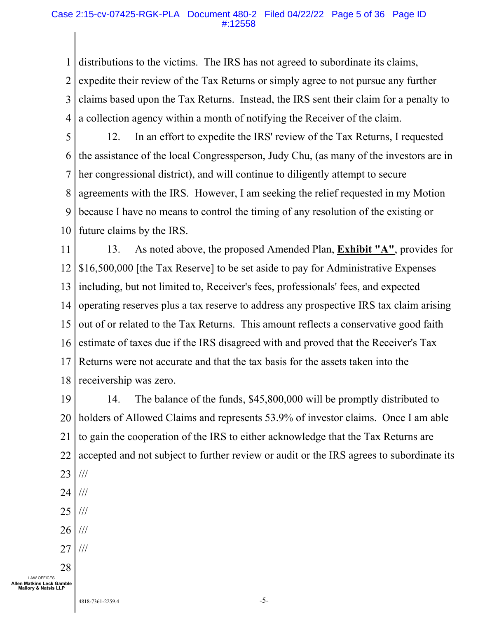#### Case 2:15-cv-07425-RGK-PLA Document 480-2 Filed 04/22/22 Page 5 of 36 Page ID #:12558

1 2 3 4 distributions to the victims. The IRS has not agreed to subordinate its claims, expedite their review of the Tax Returns or simply agree to not pursue any further claims based upon the Tax Returns. Instead, the IRS sent their claim for a penalty to a collection agency within a month of notifying the Receiver of the claim.

5 6 7 8 9 10 12. In an effort to expedite the IRS' review of the Tax Returns, I requested the assistance of the local Congressperson, Judy Chu, (as many of the investors are in her congressional district), and will continue to diligently attempt to secure agreements with the IRS. However, I am seeking the relief requested in my Motion because I have no means to control the timing of any resolution of the existing or future claims by the IRS.

11 12 13 14 15 16 17 18 13. As noted above, the proposed Amended Plan, **Exhibit "A"**, provides for \$16,500,000 [the Tax Reserve] to be set aside to pay for Administrative Expenses including, but not limited to, Receiver's fees, professionals' fees, and expected operating reserves plus a tax reserve to address any prospective IRS tax claim arising out of or related to the Tax Returns. This amount reflects a conservative good faith estimate of taxes due if the IRS disagreed with and proved that the Receiver's Tax Returns were not accurate and that the tax basis for the assets taken into the receivership was zero.

19 20 21 22 23 14. The balance of the funds, \$45,800,000 will be promptly distributed to holders of Allowed Claims and represents 53.9% of investor claims. Once I am able to gain the cooperation of the IRS to either acknowledge that the Tax Returns are accepted and not subject to further review or audit or the IRS agrees to subordinate its ///

- 24 ///
- 25 ///
- 26 ///
- 27 ///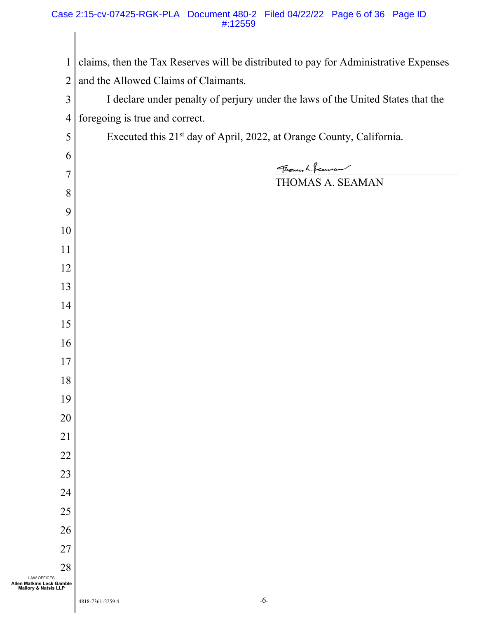claims, then the Tax Reserves will be distributed to pay for Administrative Expenses and the Allowed Claims of Claimants. I declare under penalty of perjury under the laws of the United States that the foregoing is true and correct. Executed this 21<sup>st</sup> day of April, 2022, at Orange County, California. Florence L. Securen THOMAS A. SEAMAN **Allen Matkins Leck Gamble Mallory & Natsis LLP** 

LAW OFFICES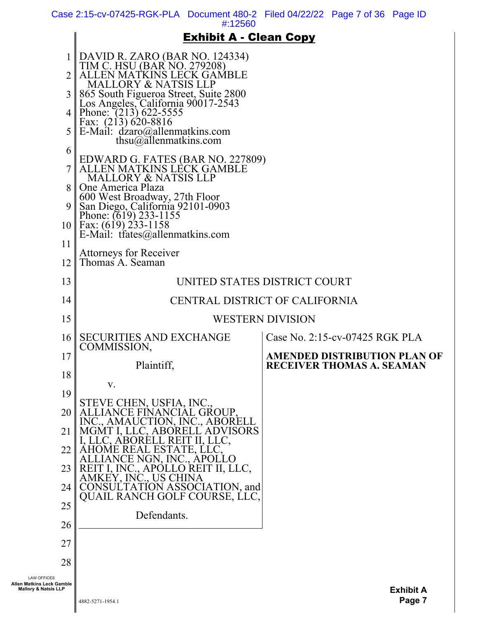Case 2:15-cv-07425-RGK-PLA Document 480-2 Filed 04/22/22 Page 7 of 36 Page ID

#:12560

## Exhibit A - Clean Copy

|                                                                                    | <b>Exhibit A - Clean Copy</b>                                                                                                                                                                                                                                                                                                                              |                                                                         |
|------------------------------------------------------------------------------------|------------------------------------------------------------------------------------------------------------------------------------------------------------------------------------------------------------------------------------------------------------------------------------------------------------------------------------------------------------|-------------------------------------------------------------------------|
| 2 <sub>1</sub><br>5 <sub>1</sub>                                                   | DAVID R. ZARO (BAR NO. 124334)<br>TIM C. HSU (BAR NO. 279208)<br>ALLEN MATKINS LECK GAMBLE<br><b>MALLORY &amp; NATSIS LLP</b><br>865 South Figueroa Street, Suite 2800<br>Los Angeles, California 90017-2543<br>4   Phone: $(213)$ 622-5555<br>Eax: $(213)$ 620-8816<br>E-Mail: $d\text{zaro}(\hat{\omega})$ allenmatkins.com<br>thsu $@$ allenmatkins.com |                                                                         |
| 6<br>8 I<br>9<br>11                                                                | EDWARD G. FATES (BAR NO. 227809)<br>ALLEN MATKINS LECK GAMBLE<br><b>MALLORY &amp; NATSIS LLP</b><br>One America Plaza<br>600 West Broadway, 27th Floor<br>San Diego, California 92101-0903<br>Phone: (619) 233-1155<br>10   Fax: (619) 233-1158<br>E-Mail: $t$ fates@allenmatkins.com                                                                      |                                                                         |
| 12                                                                                 | <b>Attorneys for Receiver</b><br>Thomas A. Seaman                                                                                                                                                                                                                                                                                                          |                                                                         |
| 13                                                                                 |                                                                                                                                                                                                                                                                                                                                                            | UNITED STATES DISTRICT COURT                                            |
| 14                                                                                 |                                                                                                                                                                                                                                                                                                                                                            | CENTRAL DISTRICT OF CALIFORNIA                                          |
| 15                                                                                 |                                                                                                                                                                                                                                                                                                                                                            | <b>WESTERN DIVISION</b>                                                 |
| 16                                                                                 | <b>SECURITIES AND EXCHANGE</b>                                                                                                                                                                                                                                                                                                                             | Case No. 2:15-cv-07425 RGK PLA                                          |
| 17                                                                                 | COMMISSION,<br>Plaintiff,                                                                                                                                                                                                                                                                                                                                  | <b>AMENDED DISTRIBUTION PLAN OF</b><br><b>RECEIVER THOMAS A. SEAMAN</b> |
| 18                                                                                 | v.                                                                                                                                                                                                                                                                                                                                                         |                                                                         |
| 19                                                                                 | 'E CHEN, USFIA, INC.                                                                                                                                                                                                                                                                                                                                       |                                                                         |
| 20                                                                                 |                                                                                                                                                                                                                                                                                                                                                            |                                                                         |
| 21                                                                                 |                                                                                                                                                                                                                                                                                                                                                            |                                                                         |
| 22                                                                                 |                                                                                                                                                                                                                                                                                                                                                            |                                                                         |
| 23                                                                                 |                                                                                                                                                                                                                                                                                                                                                            |                                                                         |
| 24                                                                                 | LATION, and<br>OURSE, LLC,                                                                                                                                                                                                                                                                                                                                 |                                                                         |
| 25                                                                                 | QUAIL                                                                                                                                                                                                                                                                                                                                                      |                                                                         |
| 26                                                                                 | Defendants.                                                                                                                                                                                                                                                                                                                                                |                                                                         |
| 27                                                                                 |                                                                                                                                                                                                                                                                                                                                                            |                                                                         |
| 28                                                                                 |                                                                                                                                                                                                                                                                                                                                                            |                                                                         |
| <b>LAW OFFICES</b><br>Allen Matkins Leck Gamble<br><b>Mallory &amp; Natsis LLP</b> |                                                                                                                                                                                                                                                                                                                                                            | <b>Exhibit A</b>                                                        |

Ш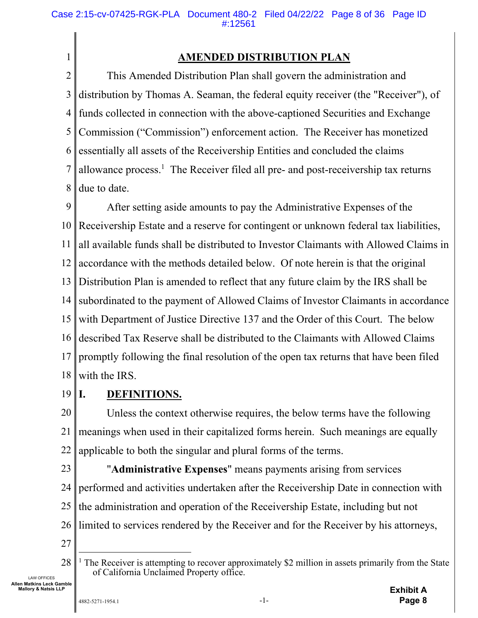## **AMENDED DISTRIBUTION PLAN**

2 3 4 5 6 7 8 This Amended Distribution Plan shall govern the administration and distribution by Thomas A. Seaman, the federal equity receiver (the "Receiver"), of funds collected in connection with the above-captioned Securities and Exchange Commission ("Commission") enforcement action. The Receiver has monetized essentially all assets of the Receivership Entities and concluded the claims allowance process.<sup>1</sup> The Receiver filed all pre- and post-receivership tax returns due to date.

9 10 11 12 13 14 15 16 17 18 After setting aside amounts to pay the Administrative Expenses of the Receivership Estate and a reserve for contingent or unknown federal tax liabilities, all available funds shall be distributed to Investor Claimants with Allowed Claims in accordance with the methods detailed below. Of note herein is that the original Distribution Plan is amended to reflect that any future claim by the IRS shall be subordinated to the payment of Allowed Claims of Investor Claimants in accordance with Department of Justice Directive 137 and the Order of this Court. The below described Tax Reserve shall be distributed to the Claimants with Allowed Claims promptly following the final resolution of the open tax returns that have been filed with the IRS.

19

1

## **I. DEFINITIONS.**

20 21 22 Unless the context otherwise requires, the below terms have the following meanings when used in their capitalized forms herein. Such meanings are equally applicable to both the singular and plural forms of the terms.

23

LAW OFFICES **Allen Matkins Leck Gamble Mallory & Natsis LLP** 

24 25 26 27 "**Administrative Expenses**" means payments arising from services performed and activities undertaken after the Receivership Date in connection with the administration and operation of the Receivership Estate, including but not limited to services rendered by the Receiver and for the Receiver by his attorneys,

<sup>28</sup>  <sup>1</sup> The Receiver is attempting to recover approximately \$2 million in assets primarily from the State of California Unclaimed Property office.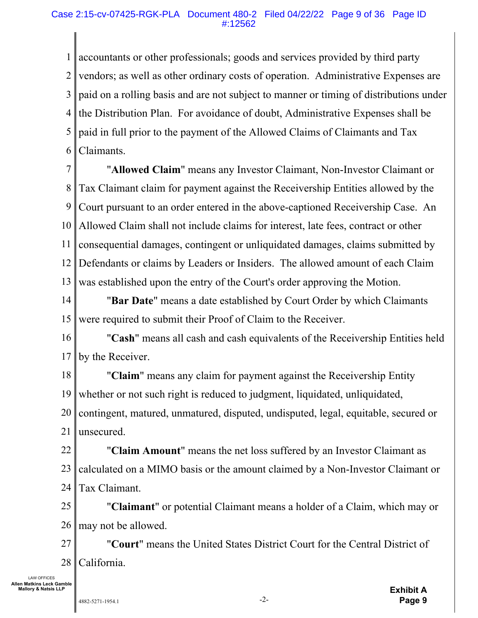#### Case 2:15-cv-07425-RGK-PLA Document 480-2 Filed 04/22/22 Page 9 of 36 Page ID #:12562

1 2 3 4 5 6 accountants or other professionals; goods and services provided by third party vendors; as well as other ordinary costs of operation. Administrative Expenses are paid on a rolling basis and are not subject to manner or timing of distributions under the Distribution Plan. For avoidance of doubt, Administrative Expenses shall be paid in full prior to the payment of the Allowed Claims of Claimants and Tax Claimants.

7 8 9 10 11 12 13 "**Allowed Claim**" means any Investor Claimant, Non-Investor Claimant or Tax Claimant claim for payment against the Receivership Entities allowed by the Court pursuant to an order entered in the above-captioned Receivership Case. An Allowed Claim shall not include claims for interest, late fees, contract or other consequential damages, contingent or unliquidated damages, claims submitted by Defendants or claims by Leaders or Insiders. The allowed amount of each Claim was established upon the entry of the Court's order approving the Motion.

14 15 "**Bar Date**" means a date established by Court Order by which Claimants were required to submit their Proof of Claim to the Receiver.

16 17 "**Cash**" means all cash and cash equivalents of the Receivership Entities held by the Receiver.

18 19 20 21 "**Claim**" means any claim for payment against the Receivership Entity whether or not such right is reduced to judgment, liquidated, unliquidated, contingent, matured, unmatured, disputed, undisputed, legal, equitable, secured or unsecured.

22 23 24 "**Claim Amount**" means the net loss suffered by an Investor Claimant as calculated on a MIMO basis or the amount claimed by a Non-Investor Claimant or Tax Claimant.

25 26 "**Claimant**" or potential Claimant means a holder of a Claim, which may or may not be allowed.

27 28 "**Court**" means the United States District Court for the Central District of California.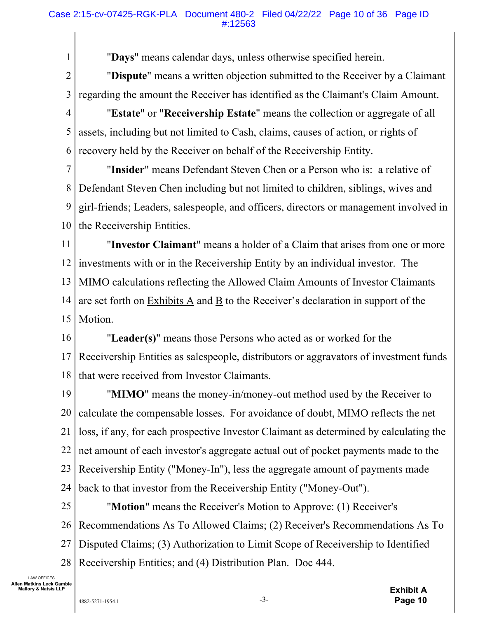"**Days**" means calendar days, unless otherwise specified herein.

2 3 "**Dispute**" means a written objection submitted to the Receiver by a Claimant regarding the amount the Receiver has identified as the Claimant's Claim Amount.

4 5 6 "**Estate**" or "**Receivership Estate**" means the collection or aggregate of all assets, including but not limited to Cash, claims, causes of action, or rights of recovery held by the Receiver on behalf of the Receivership Entity.

7 8 9 10 "**Insider**" means Defendant Steven Chen or a Person who is: a relative of Defendant Steven Chen including but not limited to children, siblings, wives and girl-friends; Leaders, salespeople, and officers, directors or management involved in the Receivership Entities.

11 12 13 14 15 "**Investor Claimant**" means a holder of a Claim that arises from one or more investments with or in the Receivership Entity by an individual investor. The MIMO calculations reflecting the Allowed Claim Amounts of Investor Claimants are set forth on Exhibits A and B to the Receiver's declaration in support of the Motion.

16 17 18 "**Leader(s)**" means those Persons who acted as or worked for the Receivership Entities as salespeople, distributors or aggravators of investment funds that were received from Investor Claimants.

19 20 21 22 23 24 "**MIMO**" means the money-in/money-out method used by the Receiver to calculate the compensable losses. For avoidance of doubt, MIMO reflects the net loss, if any, for each prospective Investor Claimant as determined by calculating the net amount of each investor's aggregate actual out of pocket payments made to the Receivership Entity ("Money-In"), less the aggregate amount of payments made back to that investor from the Receivership Entity ("Money-Out").

25 26 27 28 "**Motion**" means the Receiver's Motion to Approve: (1) Receiver's Recommendations As To Allowed Claims; (2) Receiver's Recommendations As To Disputed Claims; (3) Authorization to Limit Scope of Receivership to Identified Receivership Entities; and (4) Distribution Plan. Doc 444.

LAW OFFICES **Allen Matkins Leck Gamble Mallory & Natsis LLP** 

1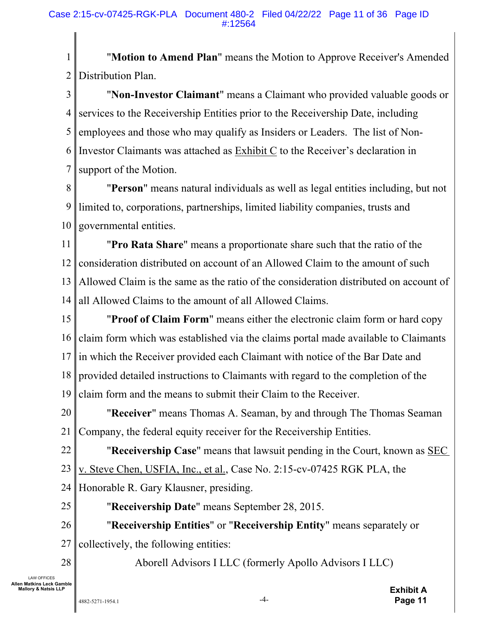1 2 "**Motion to Amend Plan**" means the Motion to Approve Receiver's Amended Distribution Plan.

3 4 5 6 7 "**Non-Investor Claimant**" means a Claimant who provided valuable goods or services to the Receivership Entities prior to the Receivership Date, including employees and those who may qualify as Insiders or Leaders. The list of Non-Investor Claimants was attached as Exhibit C to the Receiver's declaration in support of the Motion.

8 9 10 "**Person**" means natural individuals as well as legal entities including, but not limited to, corporations, partnerships, limited liability companies, trusts and governmental entities.

11 12 13 14 "**Pro Rata Share**" means a proportionate share such that the ratio of the consideration distributed on account of an Allowed Claim to the amount of such Allowed Claim is the same as the ratio of the consideration distributed on account of all Allowed Claims to the amount of all Allowed Claims.

15 16 17 18 19 "**Proof of Claim Form**" means either the electronic claim form or hard copy claim form which was established via the claims portal made available to Claimants in which the Receiver provided each Claimant with notice of the Bar Date and provided detailed instructions to Claimants with regard to the completion of the claim form and the means to submit their Claim to the Receiver.

20 21 "**Receiver**" means Thomas A. Seaman, by and through The Thomas Seaman Company, the federal equity receiver for the Receivership Entities.

- 22 "**Receivership Case**" means that lawsuit pending in the Court, known as SEC
- 23 v. Steve Chen, USFIA, Inc., et al., Case No. 2:15-cv-07425 RGK PLA, the
- 24 Honorable R. Gary Klausner, presiding.
- 25
- "**Receivership Date**" means September 28, 2015.

26 27 "**Receivership Entities**" or "**Receivership Entity**" means separately or collectively, the following entities:

28

LAW OFFICES **Allen Matkins Leck Gamble Mallory & Natsis LLP** 

Aborell Advisors I LLC (formerly Apollo Advisors I LLC)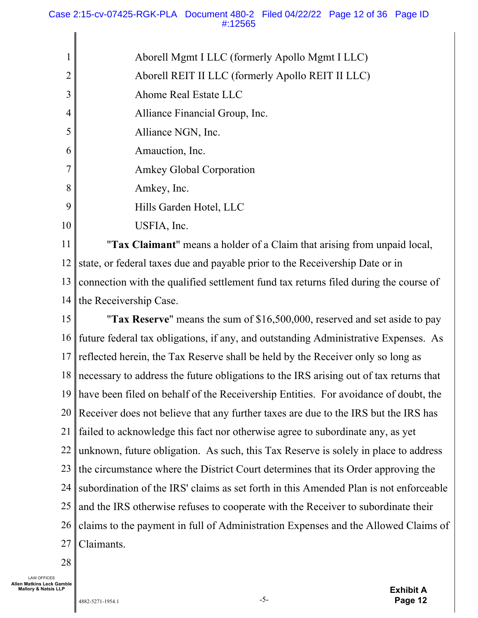|    | Aborell Mgmt I LLC (formerly Apollo Mgmt I LLC)                        |
|----|------------------------------------------------------------------------|
|    | Aborell REIT II LLC (formerly Apollo REIT II LLC)                      |
|    | Ahome Real Estate LLC                                                  |
| 4  | Alliance Financial Group, Inc.                                         |
| 5  | Alliance NGN, Inc.                                                     |
| 6  | Amauction, Inc.                                                        |
|    | <b>Amkey Global Corporation</b>                                        |
| 8  | Amkey, Inc.                                                            |
| 9  | Hills Garden Hotel, LLC                                                |
| 10 | USFIA, Inc.                                                            |
| 11 | $1 \quad 11 \quad C \quad 21 \quad 1 \quad 1$<br>$\cap$ $\blacksquare$ |

11 12 13 14 "**Tax Claimant**" means a holder of a Claim that arising from unpaid local, state, or federal taxes due and payable prior to the Receivership Date or in connection with the qualified settlement fund tax returns filed during the course of the Receivership Case.

15 16 17 18 19 20 21 22 23 24 25 26 27 "**Tax Reserve**" means the sum of \$16,500,000, reserved and set aside to pay future federal tax obligations, if any, and outstanding Administrative Expenses. As reflected herein, the Tax Reserve shall be held by the Receiver only so long as necessary to address the future obligations to the IRS arising out of tax returns that have been filed on behalf of the Receivership Entities. For avoidance of doubt, the Receiver does not believe that any further taxes are due to the IRS but the IRS has failed to acknowledge this fact nor otherwise agree to subordinate any, as yet unknown, future obligation. As such, this Tax Reserve is solely in place to address the circumstance where the District Court determines that its Order approving the subordination of the IRS' claims as set forth in this Amended Plan is not enforceable and the IRS otherwise refuses to cooperate with the Receiver to subordinate their claims to the payment in full of Administration Expenses and the Allowed Claims of Claimants.

28

LAW OFFICES **Allen Matkins Leck Gamble Mallory & Natsis LLP** 

**Exhibit A Page 12**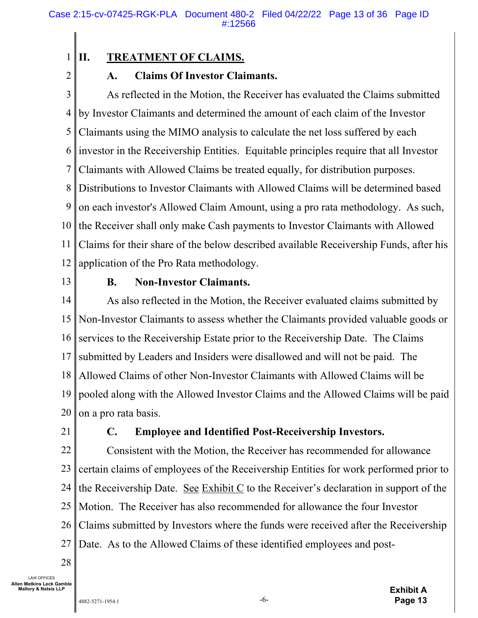## **II. TREATMENT OF CLAIMS.**

2

1

## **A. Claims Of Investor Claimants.**

3 4 5 6 7 8 9 10 11 12 As reflected in the Motion, the Receiver has evaluated the Claims submitted by Investor Claimants and determined the amount of each claim of the Investor Claimants using the MIMO analysis to calculate the net loss suffered by each investor in the Receivership Entities. Equitable principles require that all Investor Claimants with Allowed Claims be treated equally, for distribution purposes. Distributions to Investor Claimants with Allowed Claims will be determined based on each investor's Allowed Claim Amount, using a pro rata methodology. As such, the Receiver shall only make Cash payments to Investor Claimants with Allowed Claims for their share of the below described available Receivership Funds, after his application of the Pro Rata methodology.

13

### **B. Non-Investor Claimants.**

14 15 16 17 18 19 20 As also reflected in the Motion, the Receiver evaluated claims submitted by Non-Investor Claimants to assess whether the Claimants provided valuable goods or services to the Receivership Estate prior to the Receivership Date. The Claims submitted by Leaders and Insiders were disallowed and will not be paid. The Allowed Claims of other Non-Investor Claimants with Allowed Claims will be pooled along with the Allowed Investor Claims and the Allowed Claims will be paid on a pro rata basis.

21

## **C. Employee and Identified Post-Receivership Investors.**

22 23 24 25 26 27 Consistent with the Motion, the Receiver has recommended for allowance certain claims of employees of the Receivership Entities for work performed prior to the Receivership Date. See Exhibit C to the Receiver's declaration in support of the Motion. The Receiver has also recommended for allowance the four Investor Claims submitted by Investors where the funds were received after the Receivership Date. As to the Allowed Claims of these identified employees and post-

28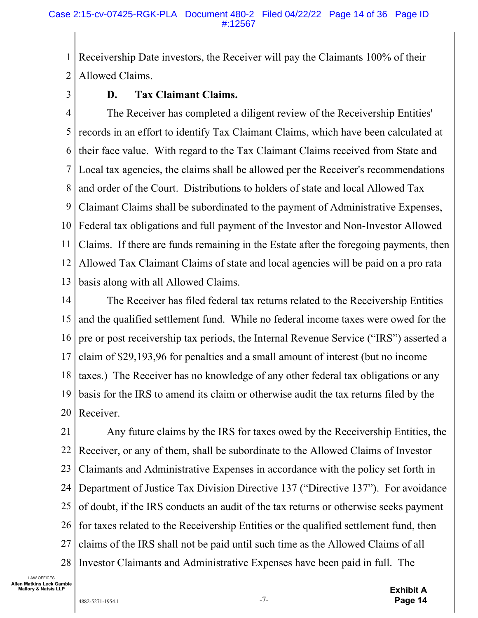1 2 Receivership Date investors, the Receiver will pay the Claimants 100% of their Allowed Claims.

3

## **D. Tax Claimant Claims.**

4 5 6 7 8 9 10 11 12 13 The Receiver has completed a diligent review of the Receivership Entities' records in an effort to identify Tax Claimant Claims, which have been calculated at their face value. With regard to the Tax Claimant Claims received from State and Local tax agencies, the claims shall be allowed per the Receiver's recommendations and order of the Court. Distributions to holders of state and local Allowed Tax Claimant Claims shall be subordinated to the payment of Administrative Expenses, Federal tax obligations and full payment of the Investor and Non-Investor Allowed Claims. If there are funds remaining in the Estate after the foregoing payments, then Allowed Tax Claimant Claims of state and local agencies will be paid on a pro rata basis along with all Allowed Claims.

14 15 16 17 18 19 20 The Receiver has filed federal tax returns related to the Receivership Entities and the qualified settlement fund. While no federal income taxes were owed for the pre or post receivership tax periods, the Internal Revenue Service ("IRS") asserted a claim of \$29,193,96 for penalties and a small amount of interest (but no income taxes.) The Receiver has no knowledge of any other federal tax obligations or any basis for the IRS to amend its claim or otherwise audit the tax returns filed by the Receiver.

21 22 23 24 25 26 27 28 Any future claims by the IRS for taxes owed by the Receivership Entities, the Receiver, or any of them, shall be subordinate to the Allowed Claims of Investor Claimants and Administrative Expenses in accordance with the policy set forth in Department of Justice Tax Division Directive 137 ("Directive 137"). For avoidance of doubt, if the IRS conducts an audit of the tax returns or otherwise seeks payment for taxes related to the Receivership Entities or the qualified settlement fund, then claims of the IRS shall not be paid until such time as the Allowed Claims of all Investor Claimants and Administrative Expenses have been paid in full. The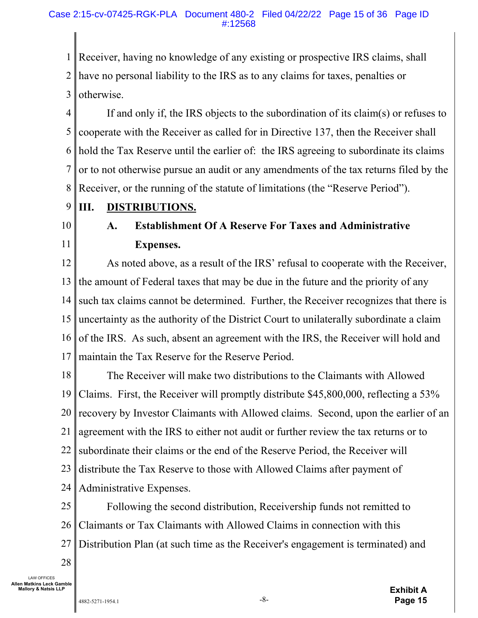1 2 3 Receiver, having no knowledge of any existing or prospective IRS claims, shall have no personal liability to the IRS as to any claims for taxes, penalties or otherwise.

4 5 6 7 8 If and only if, the IRS objects to the subordination of its claim(s) or refuses to cooperate with the Receiver as called for in Directive 137, then the Receiver shall hold the Tax Reserve until the earlier of: the IRS agreeing to subordinate its claims or to not otherwise pursue an audit or any amendments of the tax returns filed by the Receiver, or the running of the statute of limitations (the "Reserve Period").

- 9 **III. DISTRIBUTIONS.**
- 10

11

# **A. Establishment Of A Reserve For Taxes and Administrative Expenses.**

12 13 14 15 16 17 As noted above, as a result of the IRS' refusal to cooperate with the Receiver, the amount of Federal taxes that may be due in the future and the priority of any such tax claims cannot be determined. Further, the Receiver recognizes that there is uncertainty as the authority of the District Court to unilaterally subordinate a claim of the IRS. As such, absent an agreement with the IRS, the Receiver will hold and maintain the Tax Reserve for the Reserve Period.

18 19 20 21 22 23 24 The Receiver will make two distributions to the Claimants with Allowed Claims. First, the Receiver will promptly distribute \$45,800,000, reflecting a 53% recovery by Investor Claimants with Allowed claims. Second, upon the earlier of an agreement with the IRS to either not audit or further review the tax returns or to subordinate their claims or the end of the Reserve Period, the Receiver will distribute the Tax Reserve to those with Allowed Claims after payment of Administrative Expenses.

25 26 27 Following the second distribution, Receivership funds not remitted to Claimants or Tax Claimants with Allowed Claims in connection with this Distribution Plan (at such time as the Receiver's engagement is terminated) and

28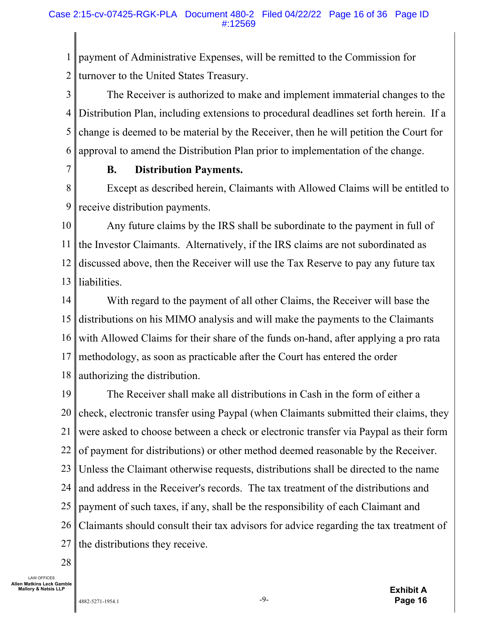1 2 payment of Administrative Expenses, will be remitted to the Commission for turnover to the United States Treasury.

3 4 5 6 The Receiver is authorized to make and implement immaterial changes to the Distribution Plan, including extensions to procedural deadlines set forth herein. If a change is deemed to be material by the Receiver, then he will petition the Court for approval to amend the Distribution Plan prior to implementation of the change.

7

#### **B. Distribution Payments.**

8 9 Except as described herein, Claimants with Allowed Claims will be entitled to receive distribution payments.

10 11 12 13 Any future claims by the IRS shall be subordinate to the payment in full of the Investor Claimants. Alternatively, if the IRS claims are not subordinated as discussed above, then the Receiver will use the Tax Reserve to pay any future tax liabilities.

14 15 16 17 18 With regard to the payment of all other Claims, the Receiver will base the distributions on his MIMO analysis and will make the payments to the Claimants with Allowed Claims for their share of the funds on-hand, after applying a pro rata methodology, as soon as practicable after the Court has entered the order authorizing the distribution.

19 20 21 22 23 24 25 26 27 The Receiver shall make all distributions in Cash in the form of either a check, electronic transfer using Paypal (when Claimants submitted their claims, they were asked to choose between a check or electronic transfer via Paypal as their form of payment for distributions) or other method deemed reasonable by the Receiver. Unless the Claimant otherwise requests, distributions shall be directed to the name and address in the Receiver's records. The tax treatment of the distributions and payment of such taxes, if any, shall be the responsibility of each Claimant and Claimants should consult their tax advisors for advice regarding the tax treatment of the distributions they receive.

28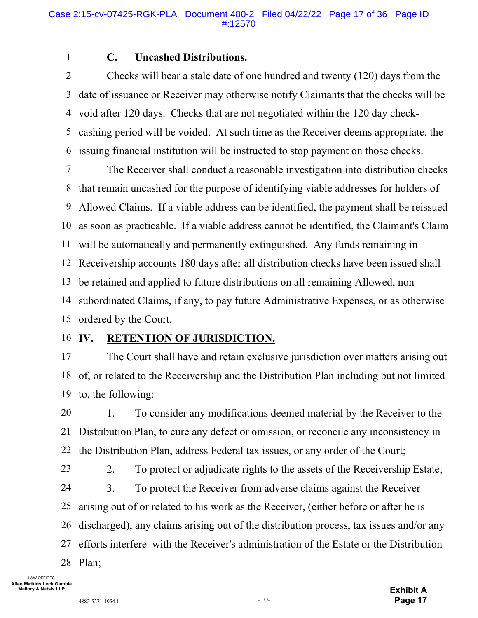## **C. Uncashed Distributions.**

2 3 4 5 6 Checks will bear a stale date of one hundred and twenty (120) days from the date of issuance or Receiver may otherwise notify Claimants that the checks will be void after 120 days. Checks that are not negotiated within the 120 day checkcashing period will be voided. At such time as the Receiver deems appropriate, the issuing financial institution will be instructed to stop payment on those checks.

7 8 9 10 11 12 13 14 15 The Receiver shall conduct a reasonable investigation into distribution checks that remain uncashed for the purpose of identifying viable addresses for holders of Allowed Claims. If a viable address can be identified, the payment shall be reissued as soon as practicable. If a viable address cannot be identified, the Claimant's Claim will be automatically and permanently extinguished. Any funds remaining in Receivership accounts 180 days after all distribution checks have been issued shall be retained and applied to future distributions on all remaining Allowed, nonsubordinated Claims, if any, to pay future Administrative Expenses, or as otherwise ordered by the Court.

#### 16 **IV. RETENTION OF JURISDICTION.**

1

17 18 19 The Court shall have and retain exclusive jurisdiction over matters arising out of, or related to the Receivership and the Distribution Plan including but not limited to, the following:

20 21 22 1. To consider any modifications deemed material by the Receiver to the Distribution Plan, to cure any defect or omission, or reconcile any inconsistency in the Distribution Plan, address Federal tax issues, or any order of the Court;

23

2. To protect or adjudicate rights to the assets of the Receivership Estate;

24 25 26 27 28 3. To protect the Receiver from adverse claims against the Receiver arising out of or related to his work as the Receiver, (either before or after he is discharged), any claims arising out of the distribution process, tax issues and/or any efforts interfere with the Receiver's administration of the Estate or the Distribution Plan;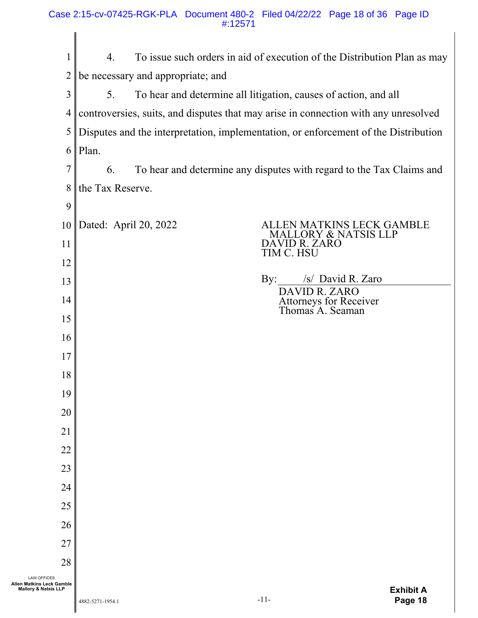|                                                                                    | 4.                                | To issue such orders in aid of execution of the Distribution Plan as may            |
|------------------------------------------------------------------------------------|-----------------------------------|-------------------------------------------------------------------------------------|
| $\overline{2}$                                                                     | be necessary and appropriate; and |                                                                                     |
| 3                                                                                  | 5.                                | To hear and determine all litigation, causes of action, and all                     |
| 4                                                                                  |                                   | controversies, suits, and disputes that may arise in connection with any unresolved |
| 5                                                                                  |                                   | Disputes and the interpretation, implementation, or enforcement of the Distribution |
|                                                                                    | $6$   Plan.                       |                                                                                     |
| 7                                                                                  | 6.                                | To hear and determine any disputes with regard to the Tax Claims and                |
| 8                                                                                  | the Tax Reserve.                  |                                                                                     |
| 9                                                                                  |                                   |                                                                                     |
| 10                                                                                 | Dated: April 20, 2022             | ALLEN MATKINS LECK GAMBLE<br>LORY & NATSIS LLP                                      |
| 11                                                                                 |                                   | DAVID R. ZARO<br>TIM C. HSU                                                         |
| 12                                                                                 |                                   |                                                                                     |
| 13                                                                                 |                                   | /s/ David R. Zaro<br>By:<br>DAVID R. ZARO                                           |
| 14                                                                                 |                                   | Attorneys for Receiver<br>Thomas A. Seaman                                          |
| 15                                                                                 |                                   |                                                                                     |
| 16                                                                                 |                                   |                                                                                     |
| 17                                                                                 |                                   |                                                                                     |
| 18                                                                                 |                                   |                                                                                     |
| 19                                                                                 |                                   |                                                                                     |
| 20                                                                                 |                                   |                                                                                     |
| 21                                                                                 |                                   |                                                                                     |
| 22                                                                                 |                                   |                                                                                     |
| 23                                                                                 |                                   |                                                                                     |
| 24                                                                                 |                                   |                                                                                     |
| 25                                                                                 |                                   |                                                                                     |
| 26                                                                                 |                                   |                                                                                     |
| 27                                                                                 |                                   |                                                                                     |
| 28                                                                                 |                                   |                                                                                     |
| <b>LAW OFFICES</b><br>Allen Matkins Leck Gamble<br><b>Mallory &amp; Natsis LLP</b> |                                   | <b>Exhibit A</b>                                                                    |

 $\parallel$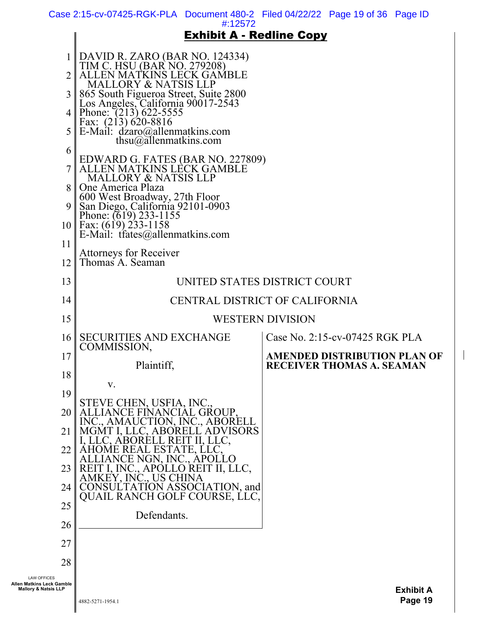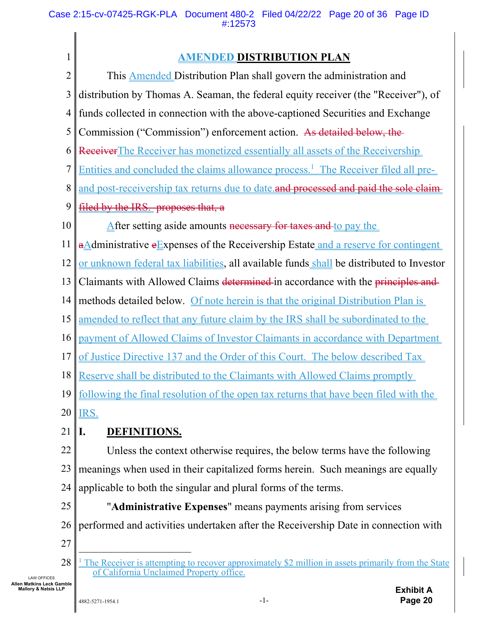| $\mathbf{1}$   | <b>AMENDED DISTRIBUTION PLAN</b>                                                                                                               |
|----------------|------------------------------------------------------------------------------------------------------------------------------------------------|
| $\overline{2}$ | This <b>Amended</b> Distribution Plan shall govern the administration and                                                                      |
| 3              | distribution by Thomas A. Seaman, the federal equity receiver (the "Receiver"), of                                                             |
| 4              | funds collected in connection with the above-captioned Securities and Exchange                                                                 |
| 5              | Commission ("Commission") enforcement action. As detailed below, the                                                                           |
| 6              | Receiver The Receiver has monetized essentially all assets of the Receivership                                                                 |
| 7              | <u>Entities and concluded the claims allowance process.<sup>1</sup> The Receiver filed all pre-</u>                                            |
| 8              | and post-receivership tax returns due to date and processed and paid the sole claim-                                                           |
| 9              | filed by the IRS. proposes that, a                                                                                                             |
| 10             | After setting aside amounts necessary for taxes and to pay the                                                                                 |
| 11             | aAdministrative eExpenses of the Receivership Estate and a reserve for contingent                                                              |
| 12             | or unknown federal tax liabilities, all available funds shall be distributed to Investor                                                       |
| 13             | Claimants with Allowed Claims determined in accordance with the principles and                                                                 |
| 14             | methods detailed below. Of note herein is that the original Distribution Plan is                                                               |
| 15             | amended to reflect that any future claim by the IRS shall be subordinated to the                                                               |
| 16             | payment of Allowed Claims of Investor Claimants in accordance with Department                                                                  |
| 17             | of Justice Directive 137 and the Order of this Court. The below described Tax                                                                  |
|                | 18 Reserve shall be distributed to the Claimants with Allowed Claims promptly                                                                  |
| 19             | following the final resolution of the open tax returns that have been filed with the                                                           |
| 20             | IRS.                                                                                                                                           |
| 21             | I.<br><b>DEFINITIONS.</b>                                                                                                                      |
| 22             | Unless the context otherwise requires, the below terms have the following                                                                      |
| 23             | meanings when used in their capitalized forms herein. Such meanings are equally                                                                |
| 24             | applicable to both the singular and plural forms of the terms.                                                                                 |
| 25             | "Administrative Expenses" means payments arising from services                                                                                 |
| 26             | performed and activities undertaken after the Receivership Date in connection with                                                             |
| 27             |                                                                                                                                                |
| 28             | The Receiver is attempting to recover approximately \$2 million in assets primarily from the State<br>of California Unclaimed Property office. |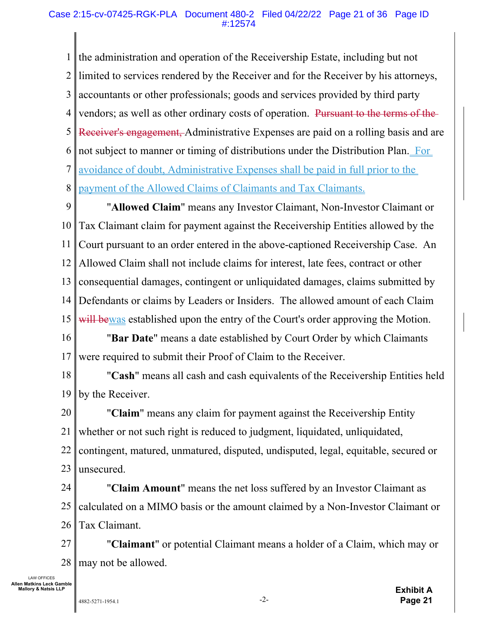#### Case 2:15-cv-07425-RGK-PLA Document 480-2 Filed 04/22/22 Page 21 of 36 Page ID #:12574

1 2 3 4 5 6 7 8 the administration and operation of the Receivership Estate, including but not limited to services rendered by the Receiver and for the Receiver by his attorneys, accountants or other professionals; goods and services provided by third party vendors; as well as other ordinary costs of operation. Pursuant to the terms of the Receiver's engagement, Administrative Expenses are paid on a rolling basis and are not subject to manner or timing of distributions under the Distribution Plan. For avoidance of doubt, Administrative Expenses shall be paid in full prior to the payment of the Allowed Claims of Claimants and Tax Claimants.

9 10 11 12 13 14 15 "**Allowed Claim**" means any Investor Claimant, Non-Investor Claimant or Tax Claimant claim for payment against the Receivership Entities allowed by the Court pursuant to an order entered in the above-captioned Receivership Case. An Allowed Claim shall not include claims for interest, late fees, contract or other consequential damages, contingent or unliquidated damages, claims submitted by Defendants or claims by Leaders or Insiders. The allowed amount of each Claim will bewas established upon the entry of the Court's order approving the Motion.

16 17 "**Bar Date**" means a date established by Court Order by which Claimants were required to submit their Proof of Claim to the Receiver.

18 19 "**Cash**" means all cash and cash equivalents of the Receivership Entities held by the Receiver.

20 21 22 23 "**Claim**" means any claim for payment against the Receivership Entity whether or not such right is reduced to judgment, liquidated, unliquidated, contingent, matured, unmatured, disputed, undisputed, legal, equitable, secured or unsecured.

24 25 26 "**Claim Amount**" means the net loss suffered by an Investor Claimant as calculated on a MIMO basis or the amount claimed by a Non-Investor Claimant or Tax Claimant.

27 28 "**Claimant**" or potential Claimant means a holder of a Claim, which may or may not be allowed.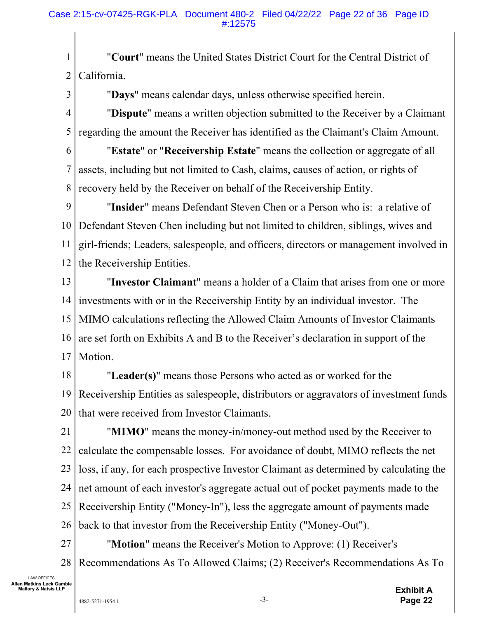1 2 "**Court**" means the United States District Court for the Central District of California.

3

"**Days**" means calendar days, unless otherwise specified herein.

4 5 "**Dispute**" means a written objection submitted to the Receiver by a Claimant regarding the amount the Receiver has identified as the Claimant's Claim Amount.

6

7 8 "**Estate**" or "**Receivership Estate**" means the collection or aggregate of all assets, including but not limited to Cash, claims, causes of action, or rights of recovery held by the Receiver on behalf of the Receivership Entity.

9 10 11 12 "**Insider**" means Defendant Steven Chen or a Person who is: a relative of Defendant Steven Chen including but not limited to children, siblings, wives and girl-friends; Leaders, salespeople, and officers, directors or management involved in the Receivership Entities.

13 14 15 16 17 "**Investor Claimant**" means a holder of a Claim that arises from one or more investments with or in the Receivership Entity by an individual investor. The MIMO calculations reflecting the Allowed Claim Amounts of Investor Claimants are set forth on Exhibits A and B to the Receiver's declaration in support of the Motion.

18 19 20 "**Leader(s)**" means those Persons who acted as or worked for the Receivership Entities as salespeople, distributors or aggravators of investment funds that were received from Investor Claimants.

21 22 23 24 25 26 "**MIMO**" means the money-in/money-out method used by the Receiver to calculate the compensable losses. For avoidance of doubt, MIMO reflects the net loss, if any, for each prospective Investor Claimant as determined by calculating the net amount of each investor's aggregate actual out of pocket payments made to the Receivership Entity ("Money-In"), less the aggregate amount of payments made back to that investor from the Receivership Entity ("Money-Out").

27 28 "**Motion**" means the Receiver's Motion to Approve: (1) Receiver's Recommendations As To Allowed Claims; (2) Receiver's Recommendations As To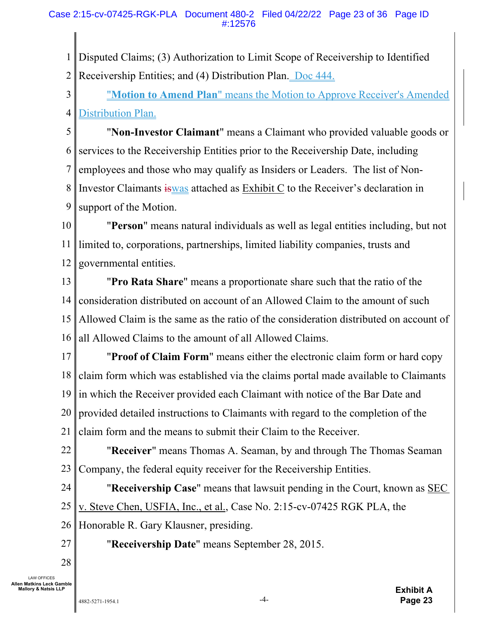1 Disputed Claims; (3) Authorization to Limit Scope of Receivership to Identified

2 Receivership Entities; and (4) Distribution Plan. Doc 444.

3 4 "**Motion to Amend Plan**" means the Motion to Approve Receiver's Amended Distribution Plan.

5 6 7 8 9 "**Non-Investor Claimant**" means a Claimant who provided valuable goods or services to the Receivership Entities prior to the Receivership Date, including employees and those who may qualify as Insiders or Leaders. The list of Non-Investor Claimants iswas attached as Exhibit C to the Receiver's declaration in support of the Motion.

10 11 12 "**Person**" means natural individuals as well as legal entities including, but not limited to, corporations, partnerships, limited liability companies, trusts and governmental entities.

13 14 15 16 "**Pro Rata Share**" means a proportionate share such that the ratio of the consideration distributed on account of an Allowed Claim to the amount of such Allowed Claim is the same as the ratio of the consideration distributed on account of all Allowed Claims to the amount of all Allowed Claims.

17 18 19 20 21 "**Proof of Claim Form**" means either the electronic claim form or hard copy claim form which was established via the claims portal made available to Claimants in which the Receiver provided each Claimant with notice of the Bar Date and provided detailed instructions to Claimants with regard to the completion of the claim form and the means to submit their Claim to the Receiver.

22 23 "**Receiver**" means Thomas A. Seaman, by and through The Thomas Seaman Company, the federal equity receiver for the Receivership Entities.

24 25 "**Receivership Case**" means that lawsuit pending in the Court, known as SEC v. Steve Chen, USFIA, Inc., et al., Case No. 2:15-cv-07425 RGK PLA, the

26 Honorable R. Gary Klausner, presiding.

27

"**Receivership Date**" means September 28, 2015.

28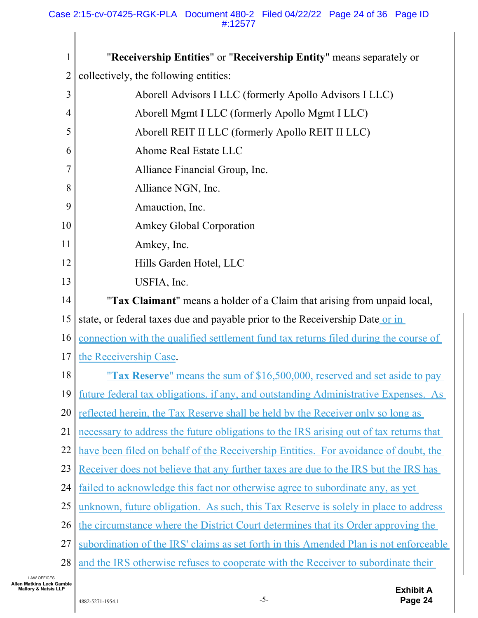| 1              | "Receivership Entities" or "Receivership Entity" means separately or                          |
|----------------|-----------------------------------------------------------------------------------------------|
| $\overline{2}$ | collectively, the following entities:                                                         |
| 3              | Aborell Advisors I LLC (formerly Apollo Advisors I LLC)                                       |
| 4              | Aborell Mgmt I LLC (formerly Apollo Mgmt I LLC)                                               |
| 5              | Aborell REIT II LLC (formerly Apollo REIT II LLC)                                             |
| 6              | Ahome Real Estate LLC                                                                         |
| 7              | Alliance Financial Group, Inc.                                                                |
| 8              | Alliance NGN, Inc.                                                                            |
| 9              | Amauction, Inc.                                                                               |
| 10             | <b>Amkey Global Corporation</b>                                                               |
| 11             | Amkey, Inc.                                                                                   |
| 12             | Hills Garden Hotel, LLC                                                                       |
| 13             | USFIA, Inc.                                                                                   |
| 14             | "Tax Claimant" means a holder of a Claim that arising from unpaid local,                      |
| 15             | state, or federal taxes due and payable prior to the Receivership Date or in                  |
| 16             | <u>connection with the qualified settlement fund tax returns filed during the course of</u>   |
| 17             | the Receivership Case.                                                                        |
| 18             | <u>"Tax Reserve" means the sum of \$16,500,000, reserved and set aside to pay</u>             |
|                | 19 <u>future federal tax obligations, if any, and outstanding Administrative Expenses.</u> As |
| 20             | reflected herein, the Tax Reserve shall be held by the Receiver only so long as               |
| 21             | necessary to address the future obligations to the IRS arising out of tax returns that        |
| 22             | have been filed on behalf of the Receivership Entities. For avoidance of doubt, the           |
| 23             | Receiver does not believe that any further taxes are due to the IRS but the IRS has           |
| 24             | failed to acknowledge this fact nor otherwise agree to subordinate any, as yet                |
| 25             | unknown, future obligation. As such, this Tax Reserve is solely in place to address           |
| 26             | the circumstance where the District Court determines that its Order approving the             |
| 27             | subordination of the IRS' claims as set forth in this Amended Plan is not enforceable         |
| 28             | and the IRS otherwise refuses to cooperate with the Receiver to subordinate their             |

LAW OFFICES **Allen Matkins Leck Gamble Mallory & Natsis LLP** 

 $\mathsf{l}$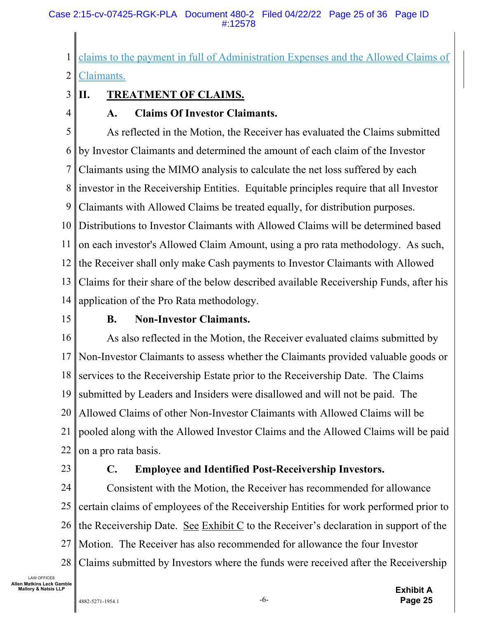#### Case 2:15-cv-07425-RGK-PLA Document 480-2 Filed 04/22/22 Page 25 of 36 Page ID #:12578

1 claims to the payment in full of Administration Expenses and the Allowed Claims of

2 Claimants.

#### 3 **II. TREATMENT OF CLAIMS.**

4

## **A. Claims Of Investor Claimants.**

5 6 7 8 9 10 11 12 13 14 As reflected in the Motion, the Receiver has evaluated the Claims submitted by Investor Claimants and determined the amount of each claim of the Investor Claimants using the MIMO analysis to calculate the net loss suffered by each investor in the Receivership Entities. Equitable principles require that all Investor Claimants with Allowed Claims be treated equally, for distribution purposes. Distributions to Investor Claimants with Allowed Claims will be determined based on each investor's Allowed Claim Amount, using a pro rata methodology. As such, the Receiver shall only make Cash payments to Investor Claimants with Allowed Claims for their share of the below described available Receivership Funds, after his application of the Pro Rata methodology.

15

## **B. Non-Investor Claimants.**

16 17 18 19 20 21 22 As also reflected in the Motion, the Receiver evaluated claims submitted by Non-Investor Claimants to assess whether the Claimants provided valuable goods or services to the Receivership Estate prior to the Receivership Date. The Claims submitted by Leaders and Insiders were disallowed and will not be paid. The Allowed Claims of other Non-Investor Claimants with Allowed Claims will be pooled along with the Allowed Investor Claims and the Allowed Claims will be paid on a pro rata basis.

23

## **C. Employee and Identified Post-Receivership Investors.**

24 25 26 27 28 Consistent with the Motion, the Receiver has recommended for allowance certain claims of employees of the Receivership Entities for work performed prior to the Receivership Date. See Exhibit C to the Receiver's declaration in support of the Motion. The Receiver has also recommended for allowance the four Investor Claims submitted by Investors where the funds were received after the Receivership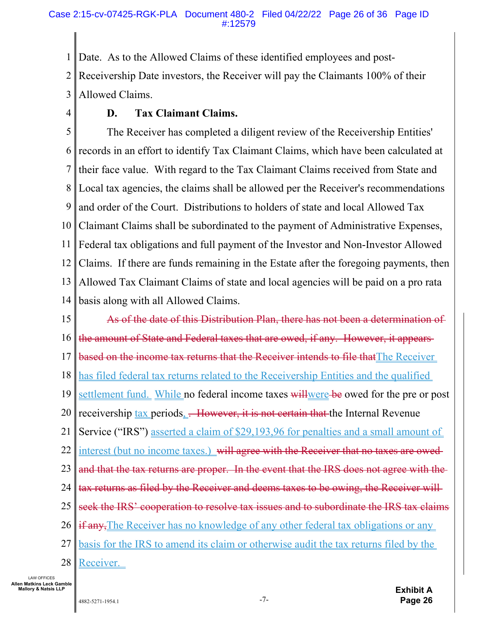1 2 3 Date. As to the Allowed Claims of these identified employees and post-Receivership Date investors, the Receiver will pay the Claimants 100% of their Allowed Claims.

4

## **D. Tax Claimant Claims.**

5 6 7 8 9 10 11 12 13 14 The Receiver has completed a diligent review of the Receivership Entities' records in an effort to identify Tax Claimant Claims, which have been calculated at their face value. With regard to the Tax Claimant Claims received from State and Local tax agencies, the claims shall be allowed per the Receiver's recommendations and order of the Court. Distributions to holders of state and local Allowed Tax Claimant Claims shall be subordinated to the payment of Administrative Expenses, Federal tax obligations and full payment of the Investor and Non-Investor Allowed Claims. If there are funds remaining in the Estate after the foregoing payments, then Allowed Tax Claimant Claims of state and local agencies will be paid on a pro rata basis along with all Allowed Claims.

15 16 17 18 19 20 21 22 23 24 25 26 27 28 As of the date of this Distribution Plan, there has not been a determination of the amount of State and Federal taxes that are owed, if any. However, it appears based on the income tax returns that the Receiver intends to file that The Receiver has filed federal tax returns related to the Receivership Entities and the qualified settlement fund. While no federal income taxes willwere be owed for the pre or post receivership  $\frac{\text{tax}}{\text{periods}}$ . However, it is not certain that the Internal Revenue Service ("IRS") asserted a claim of \$29,193,96 for penalties and a small amount of interest (but no income taxes.) will agree with the Receiver that no taxes are owed and that the tax returns are proper. In the event that the IRS does not agree with the tax returns as filed by the Receiver and deems taxes to be owing, the Receiver will seek the IRS' cooperation to resolve tax issues and to subordinate the IRS tax claims if any, The Receiver has no knowledge of any other federal tax obligations or any basis for the IRS to amend its claim or otherwise audit the tax returns filed by the Receiver.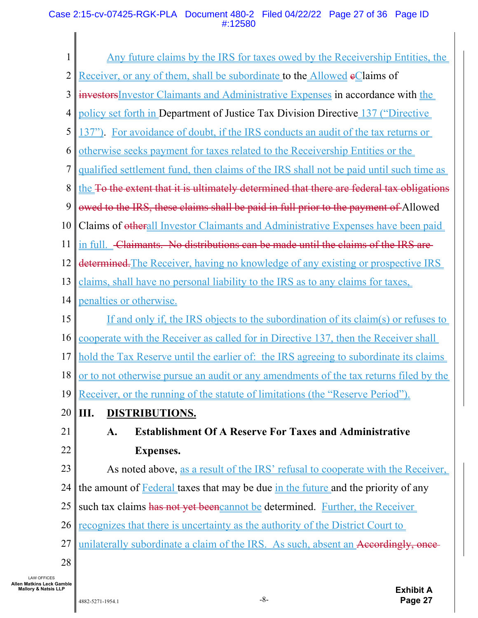#### Case 2:15-cv-07425-RGK-PLA Document 480-2 Filed 04/22/22 Page 27 of 36 Page ID #:12580

| $\mathbf{1}$   |                                                                                                                                                                   |
|----------------|-------------------------------------------------------------------------------------------------------------------------------------------------------------------|
| $\overline{2}$ | <u>Any future claims by the IRS for taxes owed by the Receivership Entities, the </u><br>Receiver, or any of them, shall be subordinate to the Allowed eClaims of |
|                |                                                                                                                                                                   |
| 3              | investors Investor Claimants and Administrative Expenses in accordance with the                                                                                   |
| 4              | policy set forth in Department of Justice Tax Division Directive 137 ("Directive                                                                                  |
| 5              | 137"). For avoidance of doubt, if the IRS conducts an audit of the tax returns or                                                                                 |
| 6              | otherwise seeks payment for taxes related to the Receivership Entities or the                                                                                     |
| 7              | <u>qualified settlement fund, then claims of the IRS shall not be paid until such time as</u>                                                                     |
| 8              | the To the extent that it is ultimately determined that there are federal tax obligations                                                                         |
| 9              | owed to the IRS, these claims shall be paid in full prior to the payment of Allowed                                                                               |
| 10             | Claims of otherall Investor Claimants and Administrative Expenses have been paid                                                                                  |
| 11             | in full. Claimants. No distributions can be made until the claims of the IRS are-                                                                                 |
| 12             | determined. The Receiver, having no knowledge of any existing or prospective IRS                                                                                  |
| 13             | claims, shall have no personal liability to the IRS as to any claims for taxes,                                                                                   |
| 14             | penalties or otherwise.                                                                                                                                           |
| 15             | <u>If and only if, the IRS objects to the subordination of its claim(s) or refuses to</u>                                                                         |
| 16             | cooperate with the Receiver as called for in Directive 137, then the Receiver shall                                                                               |
| 17             | hold the Tax Reserve until the earlier of: the IRS agreeing to subordinate its claims                                                                             |
|                | 18 <u>or to not otherwise pursue an audit or any amendments of the tax returns filed by the</u>                                                                   |
| 19             | Receiver, or the running of the statute of limitations (the "Reserve Period").                                                                                    |
| 20             | $\parallel$ III.<br><b>DISTRIBUTIONS.</b>                                                                                                                         |
| 21             | <b>Establishment Of A Reserve For Taxes and Administrative</b><br>A.                                                                                              |
| 22             | <b>Expenses.</b>                                                                                                                                                  |
| 23             | As noted above, as a result of the IRS' refusal to cooperate with the Receiver,                                                                                   |
| 24             | the amount of <b>Federal</b> taxes that may be due in the future and the priority of any                                                                          |
| 25             | such tax claims has not yet beencannot be determined. Further, the Receiver                                                                                       |
| 26             | <u>recognizes that there is uncertainty as the authority of the District Court to</u>                                                                             |
| 27             | unilaterally subordinate a claim of the IRS. As such, absent an Accordingly, once-                                                                                |
| 28             |                                                                                                                                                                   |

LAW OFFICES **Allen Matkins Leck Gamble Mallory & Natsis LLP**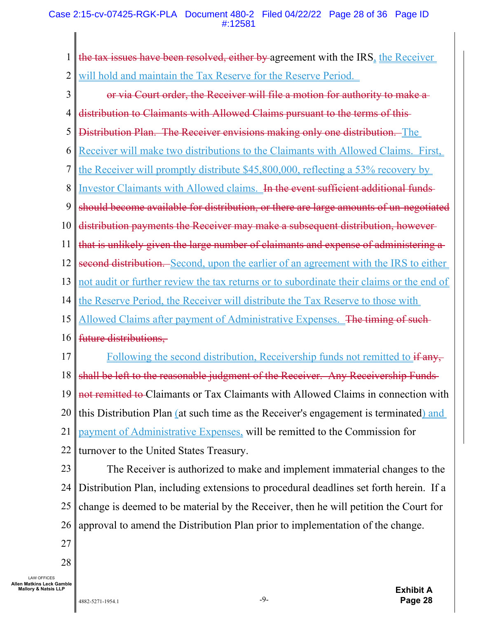#### Case 2:15-cv-07425-RGK-PLA Document 480-2 Filed 04/22/22 Page 28 of 36 Page ID #:12581

| $\mathbf{1}$   | the tax issues have been resolved, either by agreement with the $IRS_{\frac{1}{2}}$ the Receiver |
|----------------|--------------------------------------------------------------------------------------------------|
| $\overline{2}$ | will hold and maintain the Tax Reserve for the Reserve Period.                                   |
| 3              | or via Court order, the Receiver will file a motion for authority to make a                      |
| 4              | distribution to Claimants with Allowed Claims pursuant to the terms of this-                     |
| 5              | Distribution Plan. The Receiver envisions making only one distribution. The                      |
| 6              | <u>Receiver will make two distributions to the Claimants with Allowed Claims. First,</u>         |
| 7              | the Receiver will promptly distribute \$45,800,000, reflecting a 53% recovery by                 |
| 8              | Investor Claimants with Allowed claims. In the event sufficient additional funds-                |
| 9              | should become available for distribution, or there are large amounts of un-negotiated            |
| 10             | distribution payments the Receiver may make a subsequent distribution, however-                  |
| 11             | that is unlikely given the large number of claimants and expense of administering a-             |
| 12             | second distribution. Second, upon the earlier of an agreement with the IRS to either             |
| 13             | not audit or further review the tax returns or to subordinate their claims or the end of         |
| 14             | the Reserve Period, the Receiver will distribute the Tax Reserve to those with                   |
| 15             | Allowed Claims after payment of Administrative Expenses. The timing of such-                     |
| 16             | future distributions,                                                                            |
| 17             | Following the second distribution, Receivership funds not remitted to if any,                    |
| 18             | shall be left to the reasonable judgment of the Receiver. Any Receivership Funds-                |
| 19             | not remitted to Claimants or Tax Claimants with Allowed Claims in connection with                |
| 20             | this Distribution Plan (at such time as the Receiver's engagement is terminated) and             |
| 21             | payment of Administrative Expenses, will be remitted to the Commission for                       |
| 22             | turnover to the United States Treasury.                                                          |
| 23             | The Receiver is authorized to make and implement immaterial changes to the                       |
| 24             | Distribution Plan, including extensions to procedural deadlines set forth herein. If a           |
| 25             | change is deemed to be material by the Receiver, then he will petition the Court for             |
| 26             | approval to amend the Distribution Plan prior to implementation of the change.                   |
| 27             |                                                                                                  |

28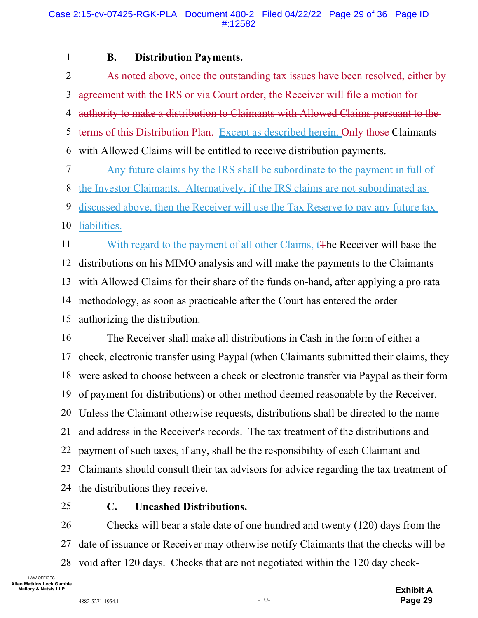### **B. Distribution Payments.**

2 3 4 5 6 As noted above, once the outstanding tax issues have been resolved, either by agreement with the IRS or via Court order, the Receiver will file a motion for authority to make a distribution to Claimants with Allowed Claims pursuant to the terms of this Distribution Plan. Except as described herein, Only those Claimants with Allowed Claims will be entitled to receive distribution payments.

7 8 Any future claims by the IRS shall be subordinate to the payment in full of the Investor Claimants. Alternatively, if the IRS claims are not subordinated as

9 10 discussed above, then the Receiver will use the Tax Reserve to pay any future tax liabilities.

11 12 13 14 15 With regard to the payment of all other Claims, t**The Receiver will base the** distributions on his MIMO analysis and will make the payments to the Claimants with Allowed Claims for their share of the funds on-hand, after applying a pro rata methodology, as soon as practicable after the Court has entered the order authorizing the distribution.

16 17 18 19 20 21 22 23 24 The Receiver shall make all distributions in Cash in the form of either a check, electronic transfer using Paypal (when Claimants submitted their claims, they were asked to choose between a check or electronic transfer via Paypal as their form of payment for distributions) or other method deemed reasonable by the Receiver. Unless the Claimant otherwise requests, distributions shall be directed to the name and address in the Receiver's records. The tax treatment of the distributions and payment of such taxes, if any, shall be the responsibility of each Claimant and Claimants should consult their tax advisors for advice regarding the tax treatment of the distributions they receive.

25

1

## **C. Uncashed Distributions.**

26 27 28 Checks will bear a stale date of one hundred and twenty (120) days from the date of issuance or Receiver may otherwise notify Claimants that the checks will be void after 120 days. Checks that are not negotiated within the 120 day check-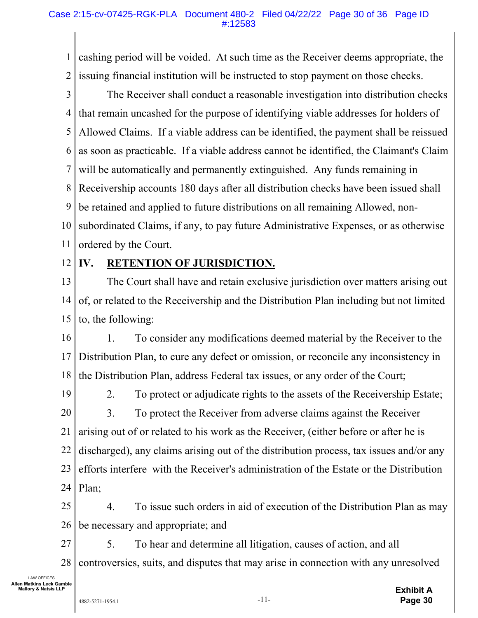1 2 cashing period will be voided. At such time as the Receiver deems appropriate, the issuing financial institution will be instructed to stop payment on those checks.

3 4 5 6 7 8 9 10 11 The Receiver shall conduct a reasonable investigation into distribution checks that remain uncashed for the purpose of identifying viable addresses for holders of Allowed Claims. If a viable address can be identified, the payment shall be reissued as soon as practicable. If a viable address cannot be identified, the Claimant's Claim will be automatically and permanently extinguished. Any funds remaining in Receivership accounts 180 days after all distribution checks have been issued shall be retained and applied to future distributions on all remaining Allowed, nonsubordinated Claims, if any, to pay future Administrative Expenses, or as otherwise ordered by the Court.

#### 12 **IV. RETENTION OF JURISDICTION.**

13 14 15 The Court shall have and retain exclusive jurisdiction over matters arising out of, or related to the Receivership and the Distribution Plan including but not limited to, the following:

16 17 18 1. To consider any modifications deemed material by the Receiver to the Distribution Plan, to cure any defect or omission, or reconcile any inconsistency in the Distribution Plan, address Federal tax issues, or any order of the Court;

19 20 21 22 23 24 2. To protect or adjudicate rights to the assets of the Receivership Estate; 3. To protect the Receiver from adverse claims against the Receiver arising out of or related to his work as the Receiver, (either before or after he is discharged), any claims arising out of the distribution process, tax issues and/or any efforts interfere with the Receiver's administration of the Estate or the Distribution Plan;

25 26 4. To issue such orders in aid of execution of the Distribution Plan as may be necessary and appropriate; and

27 28 5. To hear and determine all litigation, causes of action, and all controversies, suits, and disputes that may arise in connection with any unresolved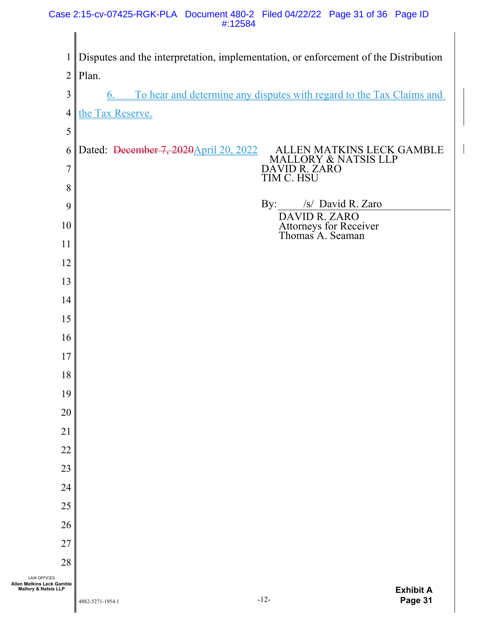#### Case 2:15-cv-07425-RGK-PLA Document 480-2 Filed 04/22/22 Page 31 of 36 Page ID #:12584

| $\mathbf{1}$                                      | Disputes and the interpretation, implementation, or enforcement of the Distribution                    |
|---------------------------------------------------|--------------------------------------------------------------------------------------------------------|
| $\overline{2}$                                    | Plan.                                                                                                  |
| $\mathfrak{Z}$                                    | To hear and determine any disputes with regard to the Tax Claims and<br>6.                             |
| $\overline{4}$                                    | the Tax Reserve.                                                                                       |
| 5                                                 |                                                                                                        |
| 6                                                 | Dated: <del>December 7, 2020</del> April 20, 2022<br>ALLEN MATKINS LECK GAMBLE<br>MALLORY & NATSIS LLP |
| $\overline{7}$                                    | DAVID R. ZARO<br>TIM C. HSU                                                                            |
| 8                                                 |                                                                                                        |
| 9                                                 | /s/ David R. Zaro<br>By:                                                                               |
| 10                                                | DAVID R. ZARO<br>Attorneys for Receiver<br>Thomas A. Seaman                                            |
| 11                                                |                                                                                                        |
| 12                                                |                                                                                                        |
| 13                                                |                                                                                                        |
| 14                                                |                                                                                                        |
| 15                                                |                                                                                                        |
| 16                                                |                                                                                                        |
| 17                                                |                                                                                                        |
| 18                                                |                                                                                                        |
| 19                                                |                                                                                                        |
| 20                                                |                                                                                                        |
| 21                                                |                                                                                                        |
| 22                                                |                                                                                                        |
| 23                                                |                                                                                                        |
| 24                                                |                                                                                                        |
| 25                                                |                                                                                                        |
| 26                                                |                                                                                                        |
| 27                                                |                                                                                                        |
| 28<br><b>LAW OFFICES</b>                          |                                                                                                        |
| Allen Matkins Leck Gamble<br>Mallory & Natsis LLP | <b>Exhibit A</b>                                                                                       |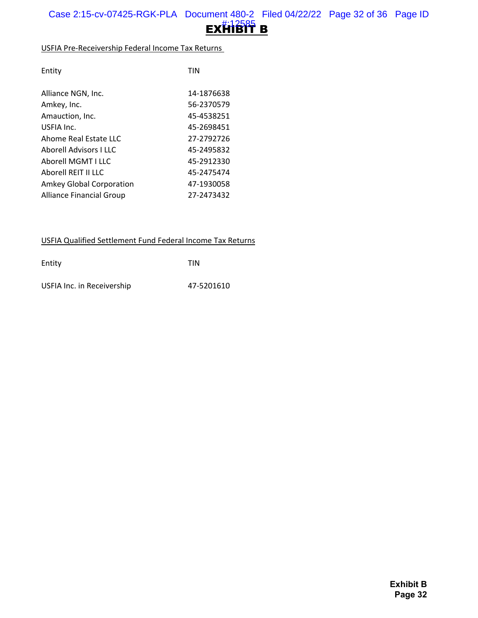

#### USFIA Pre-Receivership Federal Income Tax Returns

| Alliance NGN, Inc.<br>14-1876638            |  |
|---------------------------------------------|--|
|                                             |  |
| 56-2370579<br>Amkey, Inc.                   |  |
| 45-4538251<br>Amauction, Inc.               |  |
| USFIA Inc.<br>45-2698451                    |  |
| Ahome Real Estate LLC<br>27-2792726         |  |
| <b>Aborell Advisors I LLC</b><br>45-2495832 |  |
| Aborell MGMT LLLC<br>45-2912330             |  |
| Aborell REIT II LLC<br>45-2475474           |  |
| Amkey Global Corporation<br>47-1930058      |  |
| 27-2473432<br>Alliance Financial Group      |  |

#### USFIA Qualified Settlement Fund Federal Income Tax Returns

| Entity                     | <b>TIN</b> |
|----------------------------|------------|
| USFIA Inc. in Receivership | 47-5201610 |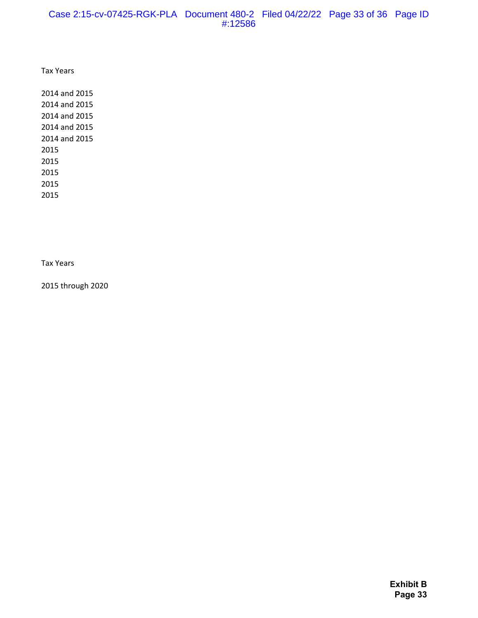#### Case 2:15-cv-07425-RGK-PLA Document 480-2 Filed 04/22/22 Page 33 of 36 Page ID #:12586

Tax Years

Tax Years

2015 through 2020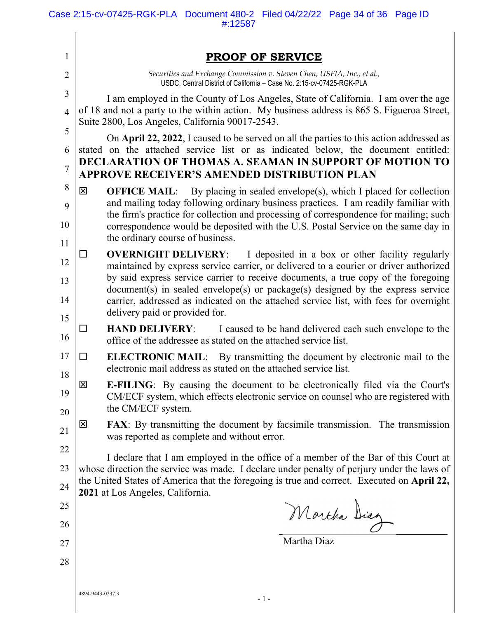| $\mathbf{1}$   | <b>PROOF OF SERVICE</b>                                                                                                                                                                              |
|----------------|------------------------------------------------------------------------------------------------------------------------------------------------------------------------------------------------------|
| $\overline{2}$ | Securities and Exchange Commission v. Steven Chen, USFIA, Inc., et al.,<br>USDC, Central District of California - Case No. 2:15-cv-07425-RGK-PLA                                                     |
| 3              | I am employed in the County of Los Angeles, State of California. I am over the age                                                                                                                   |
| $\overline{4}$ | of 18 and not a party to the within action. My business address is 865 S. Figueroa Street,<br>Suite 2800, Los Angeles, California 90017-2543.                                                        |
| 5<br>6         | On April 22, 2022, I caused to be served on all the parties to this action addressed as<br>stated on the attached service list or as indicated below, the document entitled:                         |
| $\overline{7}$ | DECLARATION OF THOMAS A. SEAMAN IN SUPPORT OF MOTION TO<br><b>APPROVE RECEIVER'S AMENDED DISTRIBUTION PLAN</b>                                                                                       |
| 8              | 区<br><b>OFFICE MAIL:</b> By placing in sealed envelope(s), which I placed for collection                                                                                                             |
| 9              | and mailing today following ordinary business practices. I am readily familiar with<br>the firm's practice for collection and processing of correspondence for mailing; such                         |
| 10<br>11       | correspondence would be deposited with the U.S. Postal Service on the same day in<br>the ordinary course of business.                                                                                |
| 12             | I deposited in a box or other facility regularly<br><b>OVERNIGHT DELIVERY:</b><br>ΙI<br>maintained by express service carrier, or delivered to a courier or driver authorized                        |
| 13             | by said express service carrier to receive documents, a true copy of the foregoing<br>document(s) in sealed envelope(s) or package(s) designed by the express service                                |
| 14<br>15       | carrier, addressed as indicated on the attached service list, with fees for overnight<br>delivery paid or provided for.                                                                              |
| 16             | I caused to be hand delivered each such envelope to the<br><b>HAND DELIVERY:</b><br>$\mathsf{L}$<br>office of the addressee as stated on the attached service list.                                  |
| 17<br>18       | <b>ELECTRONIC MAIL:</b> By transmitting the document by electronic mail to the<br>□<br>electronic mail address as stated on the attached service list.                                               |
| 19             | 区<br><b>E-FILING:</b> By causing the document to be electronically filed via the Court's<br>CM/ECF system, which effects electronic service on counsel who are registered with<br>the CM/ECF system. |
| 20<br>21       | 区<br><b>FAX:</b> By transmitting the document by facsimile transmission. The transmission<br>was reported as complete and without error.                                                             |
| 22             | I declare that I am employed in the office of a member of the Bar of this Court at                                                                                                                   |
| 23             | whose direction the service was made. I declare under penalty of perjury under the laws of                                                                                                           |
| 24             | the United States of America that the foregoing is true and correct. Executed on April 22,<br>2021 at Los Angeles, California.                                                                       |
| 25             |                                                                                                                                                                                                      |
| 26             | Mortha Diag                                                                                                                                                                                          |
| 27             | Martha Diaz                                                                                                                                                                                          |
| 28             |                                                                                                                                                                                                      |
|                | 4894-9443-0237.3<br>$-1-$                                                                                                                                                                            |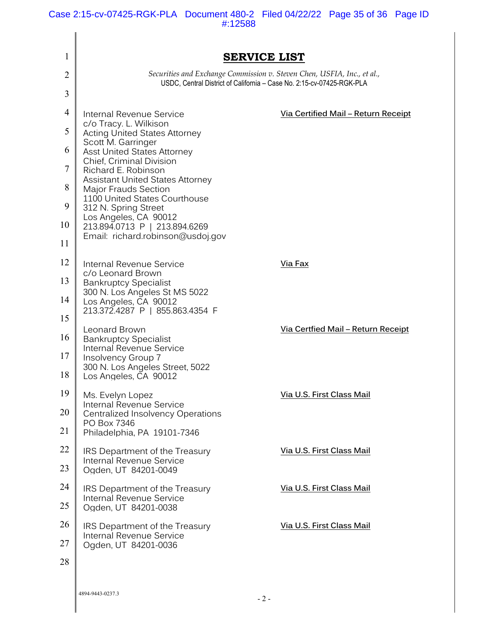Case 2:15-cv-07425-RGK-PLA Document 480-2 Filed 04/22/22 Page 35 of 36 Page ID #:12588

| 1  | <b>SERVICE LIST</b>                                                                                                                                                                                                                                                                                                                           |                                            |
|----|-----------------------------------------------------------------------------------------------------------------------------------------------------------------------------------------------------------------------------------------------------------------------------------------------------------------------------------------------|--------------------------------------------|
| 2  | Securities and Exchange Commission v. Steven Chen, USFIA, Inc., et al.,<br>USDC, Central District of California - Case No. 2:15-cv-07425-RGK-PLA                                                                                                                                                                                              |                                            |
| 3  |                                                                                                                                                                                                                                                                                                                                               |                                            |
| 4  | Internal Revenue Service                                                                                                                                                                                                                                                                                                                      | <u>Via Certified Mail - Return Receipt</u> |
| 5  | c/o Tracy. L. Wilkison<br><b>Acting United States Attorney</b>                                                                                                                                                                                                                                                                                |                                            |
| 6  | Scott M. Garringer<br><b>Asst United States Attorney</b><br><b>Chief, Criminal Division</b><br>Richard E. Robinson<br><b>Assistant United States Attorney</b><br>Major Frauds Section<br>1100 United States Courthouse<br>312 N. Spring Street<br>Los Angeles, CA 90012<br>213.894.0713 P   213.894.6269<br>Email: richard.robinson@usdoj.gov |                                            |
| 7  |                                                                                                                                                                                                                                                                                                                                               |                                            |
| 8  |                                                                                                                                                                                                                                                                                                                                               |                                            |
| 9  |                                                                                                                                                                                                                                                                                                                                               |                                            |
| 10 |                                                                                                                                                                                                                                                                                                                                               |                                            |
| 11 |                                                                                                                                                                                                                                                                                                                                               |                                            |
| 12 | Internal Revenue Service                                                                                                                                                                                                                                                                                                                      | Via Fax                                    |
| 13 | c/o Leonard Brown<br><b>Bankruptcy Specialist</b>                                                                                                                                                                                                                                                                                             |                                            |
| 14 | 300 N. Los Angeles St MS 5022<br>Los Angeles, CA 90012                                                                                                                                                                                                                                                                                        |                                            |
| 15 | 213.372.4287 P   855.863.4354 F                                                                                                                                                                                                                                                                                                               |                                            |
| 16 | Leonard Brown<br><b>Bankruptcy Specialist</b>                                                                                                                                                                                                                                                                                                 | <u>Via Certfied Mail - Return Receipt</u>  |
| 17 | Internal Revenue Service<br>Insolvency Group 7                                                                                                                                                                                                                                                                                                |                                            |
| 18 | 300 N. Los Angeles Street, 5022<br>Los Angeles, CA 90012                                                                                                                                                                                                                                                                                      |                                            |
| 19 | Ms. Evelyn Lopez<br>Internal Revenue Service<br>Centralized Insolvency Operations<br>PO Box 7346<br>Philadelphia, PA 19101-7346                                                                                                                                                                                                               | Via U.S. First Class Mail                  |
| 20 |                                                                                                                                                                                                                                                                                                                                               |                                            |
| 21 |                                                                                                                                                                                                                                                                                                                                               |                                            |
| 22 | IRS Department of the Treasury<br>Internal Revenue Service<br>Ogden, UT 84201-0049                                                                                                                                                                                                                                                            | Via U.S. First Class Mail                  |
| 23 |                                                                                                                                                                                                                                                                                                                                               |                                            |
| 24 | IRS Department of the Treasury<br><b>Internal Revenue Service</b><br>Ogden, UT 84201-0038                                                                                                                                                                                                                                                     | Via U.S. First Class Mail                  |
| 25 |                                                                                                                                                                                                                                                                                                                                               |                                            |
| 26 | IRS Department of the Treasury<br>Internal Revenue Service<br>Ogden, UT 84201-0036                                                                                                                                                                                                                                                            | Via U.S. First Class Mail                  |
| 27 |                                                                                                                                                                                                                                                                                                                                               |                                            |
| 28 |                                                                                                                                                                                                                                                                                                                                               |                                            |
|    |                                                                                                                                                                                                                                                                                                                                               |                                            |